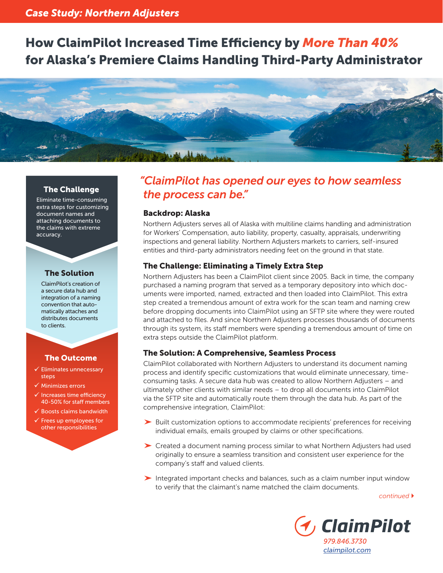# How ClaimPilot Increased Time Efficiency by *More Than 40%* for Alaska's Premiere Claims Handling Third-Party Administrator



Eliminate time-consuming extra steps for customizing document names and attaching documents to the claims with extreme accuracy.

#### The Solution

ClaimPilot's creation of a secure data hub and integration of a naming convention that automatically attaches and distributes documents to clients.

#### The Outcome

- $\checkmark$  Eliminates unnecessary steps
- $\checkmark$  Minimizes errors
- $\checkmark$  Increases time efficiency 40-50% for staff members
- $\checkmark$  Boosts claims bandwidth
- Frees up employees for other responsibilities

## *"ClaimPilot has opened our eyes to how seamless*  The Challenge **The Process can be."**

#### Backdrop: Alaska

Northern Adjusters serves all of Alaska with multiline claims handling and administration for Workers' Compensation, auto liability, property, casualty, appraisals, underwriting inspections and general liability. Northern Adjusters markets to carriers, self-insured entities and third-party administrators needing feet on the ground in that state.

#### The Challenge: Eliminating a Timely Extra Step

Northern Adjusters has been a ClaimPilot client since 2005. Back in time, the company purchased a naming program that served as a temporary depository into which documents were imported, named, extracted and then loaded into ClaimPilot. This extra step created a tremendous amount of extra work for the scan team and naming crew before dropping documents into ClaimPilot using an SFTP site where they were routed and attached to files. And since Northern Adjusters processes thousands of documents through its system, its staff members were spending a tremendous amount of time on extra steps outside the ClaimPilot platform.

#### The Solution: A Comprehensive, Seamless Process

ClaimPilot collaborated with Northern Adjusters to understand its document naming process and identify specific customizations that would eliminate unnecessary, timeconsuming tasks. A secure data hub was created to allow Northern Adjusters – and ultimately other clients with similar needs – to drop all documents into ClaimPilot via the SFTP site and automatically route them through the data hub. As part of the comprehensive integration, ClaimPilot:

- Built customization options to accommodate recipients' preferences for receiving individual emails, emails grouped by claims or other specifications.
- Created a document naming process similar to what Northern Adjusters had used originally to ensure a seamless transition and consistent user experience for the company's staff and valued clients.
- Integrated important checks and balances, such as a claim number input window to verify that the claimant's name matched the claim documents.

*continued*